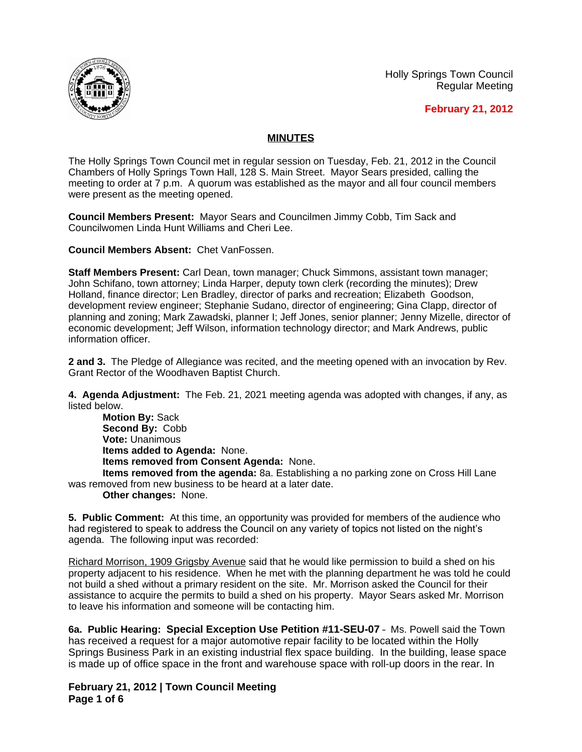Holly Springs Town Council Regular Meeting





## **MINUTES**

The Holly Springs Town Council met in regular session on Tuesday, Feb. 21, 2012 in the Council Chambers of Holly Springs Town Hall, 128 S. Main Street. Mayor Sears presided, calling the meeting to order at 7 p.m. A quorum was established as the mayor and all four council members were present as the meeting opened.

**Council Members Present:** Mayor Sears and Councilmen Jimmy Cobb, Tim Sack and Councilwomen Linda Hunt Williams and Cheri Lee.

**Council Members Absent:** Chet VanFossen.

**Staff Members Present:** Carl Dean, town manager; Chuck Simmons, assistant town manager; John Schifano, town attorney; Linda Harper, deputy town clerk (recording the minutes); Drew Holland, finance director; Len Bradley, director of parks and recreation; Elizabeth Goodson, development review engineer; Stephanie Sudano, director of engineering; Gina Clapp, director of planning and zoning; Mark Zawadski, planner I; Jeff Jones, senior planner; Jenny Mizelle, director of economic development; Jeff Wilson, information technology director; and Mark Andrews, public information officer.

**2 and 3.** The Pledge of Allegiance was recited, and the meeting opened with an invocation by Rev. Grant Rector of the Woodhaven Baptist Church.

**4. Agenda Adjustment:** The Feb. 21, 2021 meeting agenda was adopted with changes, if any, as listed below.

**Motion By:** Sack **Second By:** Cobb **Vote:** Unanimous **Items added to Agenda:** None. **Items removed from Consent Agenda:** None.

**Items removed from the agenda:** 8a. Establishing a no parking zone on Cross Hill Lane was removed from new business to be heard at a later date.

**Other changes:** None.

**5. Public Comment:** At this time, an opportunity was provided for members of the audience who had registered to speak to address the Council on any variety of topics not listed on the night's agenda. The following input was recorded:

Richard Morrison, 1909 Grigsby Avenue said that he would like permission to build a shed on his property adjacent to his residence. When he met with the planning department he was told he could not build a shed without a primary resident on the site. Mr. Morrison asked the Council for their assistance to acquire the permits to build a shed on his property. Mayor Sears asked Mr. Morrison to leave his information and someone will be contacting him.

**6a. Public Hearing: Special Exception Use Petition #11-SEU-07** – Ms. Powell said the Town has received a request for a major automotive repair facility to be located within the Holly Springs Business Park in an existing industrial flex space building. In the building, lease space is made up of office space in the front and warehouse space with roll-up doors in the rear. In

**February 21, 2012 | Town Council Meeting Page 1 of 6**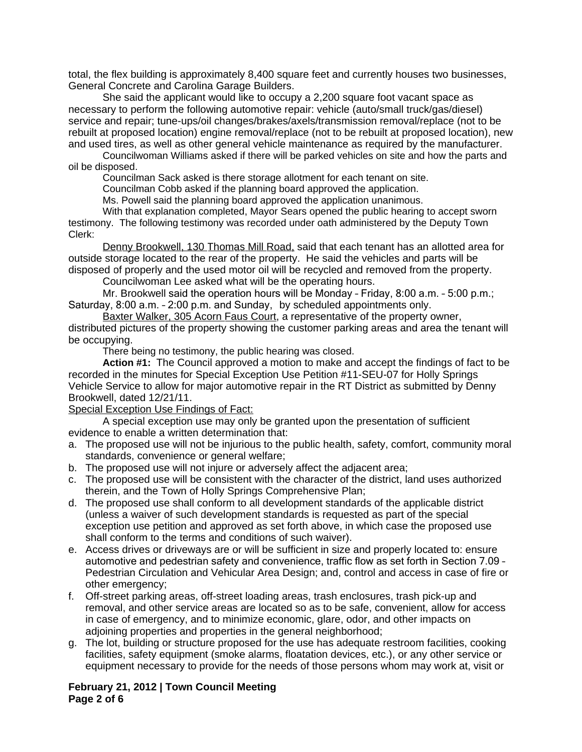total, the flex building is approximately 8,400 square feet and currently houses two businesses, General Concrete and Carolina Garage Builders.

She said the applicant would like to occupy a 2,200 square foot vacant space as necessary to perform the following automotive repair: vehicle (auto/small truck/gas/diesel) service and repair; tune-ups/oil changes/brakes/axels/transmission removal/replace (not to be rebuilt at proposed location) engine removal/replace (not to be rebuilt at proposed location), new and used tires, as well as other general vehicle maintenance as required by the manufacturer.

Councilwoman Williams asked if there will be parked vehicles on site and how the parts and oil be disposed.

Councilman Sack asked is there storage allotment for each tenant on site.

Councilman Cobb asked if the planning board approved the application.

Ms. Powell said the planning board approved the application unanimous.

With that explanation completed, Mayor Sears opened the public hearing to accept sworn testimony. The following testimony was recorded under oath administered by the Deputy Town Clerk:

Denny Brookwell, 130 Thomas Mill Road, said that each tenant has an allotted area for outside storage located to the rear of the property. He said the vehicles and parts will be disposed of properly and the used motor oil will be recycled and removed from the property.

Councilwoman Lee asked what will be the operating hours.

Mr. Brookwell said the operation hours will be Monday – Friday, 8:00 a.m. – 5:00 p.m.; Saturday, 8:00 a.m. – 2:00 p.m. and Sunday, by scheduled appointments only.

Baxter Walker, 305 Acorn Faus Court, a representative of the property owner, distributed pictures of the property showing the customer parking areas and area the tenant will be occupying.

There being no testimony, the public hearing was closed.

**Action #1:** The Council approved a motion to make and accept the findings of fact to be recorded in the minutes for Special Exception Use Petition #11-SEU-07 for Holly Springs Vehicle Service to allow for major automotive repair in the RT District as submitted by Denny Brookwell, dated 12/21/11.

## Special Exception Use Findings of Fact:

A special exception use may only be granted upon the presentation of sufficient evidence to enable a written determination that:

- a. The proposed use will not be injurious to the public health, safety, comfort, community moral standards, convenience or general welfare;
- b. The proposed use will not injure or adversely affect the adjacent area;
- c. The proposed use will be consistent with the character of the district, land uses authorized therein, and the Town of Holly Springs Comprehensive Plan;
- d. The proposed use shall conform to all development standards of the applicable district (unless a waiver of such development standards is requested as part of the special exception use petition and approved as set forth above, in which case the proposed use shall conform to the terms and conditions of such waiver).
- e. Access drives or driveways are or will be sufficient in size and properly located to: ensure automotive and pedestrian safety and convenience, traffic flow as set forth in Section 7.09 – Pedestrian Circulation and Vehicular Area Design; and, control and access in case of fire or other emergency;
- f. Off-street parking areas, off-street loading areas, trash enclosures, trash pick-up and removal, and other service areas are located so as to be safe, convenient, allow for access in case of emergency, and to minimize economic, glare, odor, and other impacts on adjoining properties and properties in the general neighborhood;
- g. The lot, building or structure proposed for the use has adequate restroom facilities, cooking facilities, safety equipment (smoke alarms, floatation devices, etc.), or any other service or equipment necessary to provide for the needs of those persons whom may work at, visit or

## **February 21, 2012 | Town Council Meeting Page 2 of 6**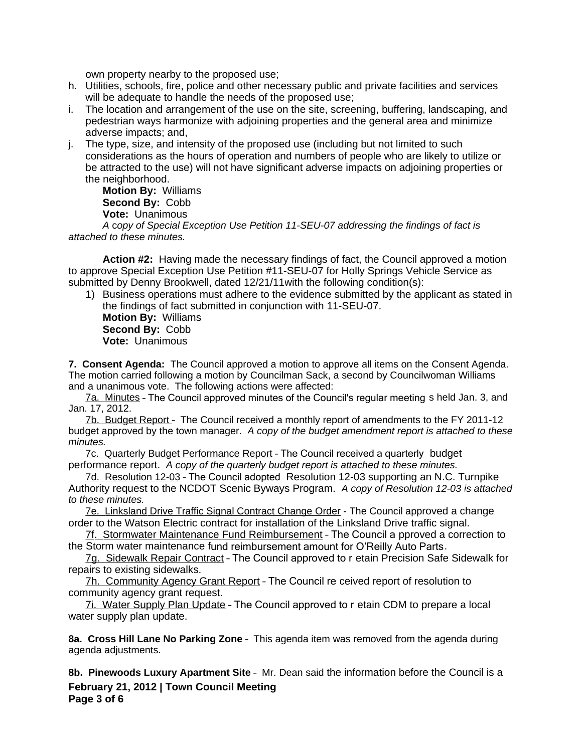own property nearby to the proposed use;

- h. Utilities, schools, fire, police and other necessary public and private facilities and services will be adequate to handle the needs of the proposed use:
- i. The location and arrangement of the use on the site, screening, buffering, landscaping, and pedestrian ways harmonize with adjoining properties and the general area and minimize adverse impacts; and,
- j. The type, size, and intensity of the proposed use (including but not limited to such considerations as the hours of operation and numbers of people who are likely to utilize or be attracted to the use) will not have significant adverse impacts on adjoining properties or the neighborhood.

**Motion By:** Williams **Second By:** Cobb **Vote:** Unanimous

*A* c*opy of Special Exception Use Petition 11-SEU-07 addressing the findings of fact is attached to these minutes.*

**Action #2:** Having made the necessary findings of fact, the Council approved a motion to approve Special Exception Use Petition #11-SEU-07 for Holly Springs Vehicle Service as submitted by Denny Brookwell, dated 12/21/11with the following condition(s):

1) Business operations must adhere to the evidence submitted by the applicant as stated in the findings of fact submitted in conjunction with 11-SEU-07.

**Motion By:** Williams **Second By:** Cobb **Vote:** Unanimous

**7. Consent Agenda:** The Council approved a motion to approve all items on the Consent Agenda. The motion carried following a motion by Councilman Sack, a second by Councilwoman Williams and a unanimous vote. The following actions were affected:

7a. Minutes – The Council approved minutes of the Council's regular meeting s held Jan. 3, and Jan. 17, 2012.

7b. Budget Report – The Council received a monthly report of amendments to the FY 2011-12 budget approved by the town manager. *A copy of the budget amendment report is attached to these minutes.*

7c. Quarterly Budget Performance Report – The Council received a quarterly budget performance report. *A copy of the quarterly budget report is attached to these minutes.*

7d. Resolution 12-03 – The Council adopted Resolution 12-03 supporting an N.C. Turnpike Authority request to the NCDOT Scenic Byways Program. *A copy of Resolution 12-03 is attached to these minutes.*

7e. Linksland Drive Traffic Signal Contract Change Order - The Council approved a change order to the Watson Electric contract for installation of the Linksland Drive traffic signal.

7f. Stormwater Maintenance Fund Reimbursement – The Council a pproved a correction to the Storm water maintenance fund reimbursement amount for O'Reilly Auto Parts.

7g. Sidewalk Repair Contract – The Council approved to r etain Precision Safe Sidewalk for repairs to existing sidewalks.

7h. Community Agency Grant Report – The Council re ceived report of resolution to community agency grant request.

7i. Water Supply Plan Update – The Council approved to r etain CDM to prepare a local water supply plan update.

**8a. Cross Hill Lane No Parking Zone** – This agenda item was removed from the agenda during agenda adjustments.

**February 21, 2012 | Town Council Meeting 8b. Pinewoods Luxury Apartment Site** – Mr. Dean said the information before the Council is a

**Page 3 of 6**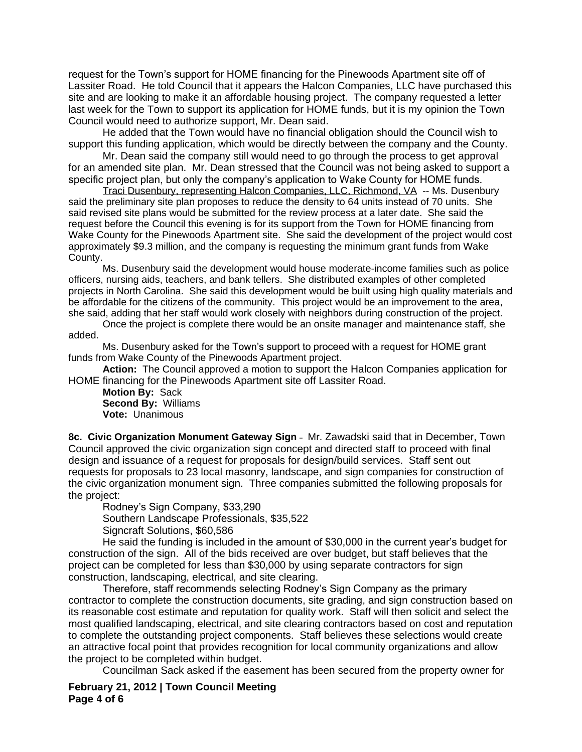request for the Town's support for HOME financing for the Pinewoods Apartment site off of Lassiter Road. He told Council that it appears the Halcon Companies, LLC have purchased this site and are looking to make it an affordable housing project. The company requested a letter last week for the Town to support its application for HOME funds, but it is my opinion the Town Council would need to authorize support, Mr. Dean said.

He added that the Town would have no financial obligation should the Council wish to support this funding application, which would be directly between the company and the County.

Mr. Dean said the company still would need to go through the process to get approval for an amended site plan. Mr. Dean stressed that the Council was not being asked to support a specific project plan, but only the company's application to Wake County for HOME funds.

Traci Dusenbury, representing Halcon Companies, LLC, Richmond, VA -- Ms. Dusenbury said the preliminary site plan proposes to reduce the density to 64 units instead of 70 units. She said revised site plans would be submitted for the review process at a later date. She said the request before the Council this evening is for its support from the Town for HOME financing from Wake County for the Pinewoods Apartment site. She said the development of the project would cost approximately \$9.3 million, and the company is requesting the minimum grant funds from Wake County.

Ms. Dusenbury said the development would house moderate-income families such as police officers, nursing aids, teachers, and bank tellers. She distributed examples of other completed projects in North Carolina. She said this development would be built using high quality materials and be affordable for the citizens of the community. This project would be an improvement to the area, she said, adding that her staff would work closely with neighbors during construction of the project.

Once the project is complete there would be an onsite manager and maintenance staff, she added.

Ms. Dusenbury asked for the Town's support to proceed with a request for HOME grant funds from Wake County of the Pinewoods Apartment project.

**Action:** The Council approved a motion to support the Halcon Companies application for HOME financing for the Pinewoods Apartment site off Lassiter Road.

**Motion By:** Sack **Second By:** Williams **Vote:** Unanimous

**8c. Civic Organization Monument Gateway Sign** – Mr. Zawadski said that in December, Town Council approved the civic organization sign concept and directed staff to proceed with final design and issuance of a request for proposals for design/build services. Staff sent out requests for proposals to 23 local masonry, landscape, and sign companies for construction of the civic organization monument sign. Three companies submitted the following proposals for the project:

Rodney's Sign Company, \$33,290 Southern Landscape Professionals, \$35,522 Signcraft Solutions, \$60,586

He said the funding is included in the amount of \$30,000 in the current year's budget for construction of the sign. All of the bids received are over budget, but staff believes that the project can be completed for less than \$30,000 by using separate contractors for sign construction, landscaping, electrical, and site clearing.

Therefore, staff recommends selecting Rodney's Sign Company as the primary contractor to complete the construction documents, site grading, and sign construction based on its reasonable cost estimate and reputation for quality work. Staff will then solicit and select the most qualified landscaping, electrical, and site clearing contractors based on cost and reputation to complete the outstanding project components. Staff believes these selections would create an attractive focal point that provides recognition for local community organizations and allow the project to be completed within budget.

Councilman Sack asked if the easement has been secured from the property owner for

## **February 21, 2012 | Town Council Meeting Page 4 of 6**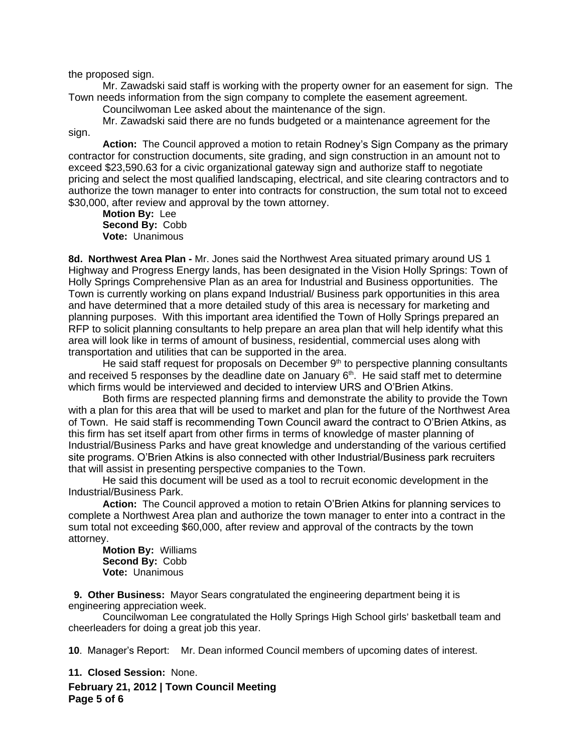the proposed sign.

Mr. Zawadski said staff is working with the property owner for an easement for sign. The Town needs information from the sign company to complete the easement agreement.

Councilwoman Lee asked about the maintenance of the sign.

Mr. Zawadski said there are no funds budgeted or a maintenance agreement for the sign.

**Action:** The Council approved a motion to retain Rodney's Sign Company as the primary contractor for construction documents, site grading, and sign construction in an amount not to exceed \$23,590.63 for a civic organizational gateway sign and authorize staff to negotiate pricing and select the most qualified landscaping, electrical, and site clearing contractors and to authorize the town manager to enter into contracts for construction, the sum total not to exceed \$30,000, after review and approval by the town attorney.

**Motion By:** Lee **Second By:** Cobb **Vote:** Unanimous

**8d. Northwest Area Plan -** Mr. Jones said the Northwest Area situated primary around US 1 Highway and Progress Energy lands, has been designated in the Vision Holly Springs: Town of Holly Springs Comprehensive Plan as an area for Industrial and Business opportunities. The Town is currently working on plans expand Industrial/ Business park opportunities in this area and have determined that a more detailed study of this area is necessary for marketing and planning purposes. With this important area identified the Town of Holly Springs prepared an RFP to solicit planning consultants to help prepare an area plan that will help identify what this area will look like in terms of amount of business, residential, commercial uses along with transportation and utilities that can be supported in the area.

He said staff request for proposals on December  $9<sup>th</sup>$  to perspective planning consultants and received 5 responses by the deadline date on January  $6<sup>th</sup>$ . He said staff met to determine which firms would be interviewed and decided to interview URS and O'Brien Atkins.

Both firms are respected planning firms and demonstrate the ability to provide the Town with a plan for this area that will be used to market and plan for the future of the Northwest Area of Town. He said staff is recommending Town Council award the contract to O'Brien Atkins, as this firm has set itself apart from other firms in terms of knowledge of master planning of Industrial/Business Parks and have great knowledge and understanding of the various certified site programs. O'Brien Atkins is also connected with other Industrial/Business park recruiters that will assist in presenting perspective companies to the Town.

He said this document will be used as a tool to recruit economic development in the Industrial/Business Park.

**Action:** The Council approved a motion to retain O'Brien Atkins for planning services to complete a Northwest Area plan and authorize the town manager to enter into a contract in the sum total not exceeding \$60,000, after review and approval of the contracts by the town attorney.

**Motion By:** Williams **Second By:** Cobb **Vote:** Unanimous

 **9. Other Business:** Mayor Sears congratulated the engineering department being it is engineering appreciation week.

Councilwoman Lee congratulated the Holly Springs High School girls' basketball team and cheerleaders for doing a great job this year.

**10**. Manager's Report: Mr. Dean informed Council members of upcoming dates of interest.

**11. Closed Session:** None.

**February 21, 2012 | Town Council Meeting Page 5 of 6**